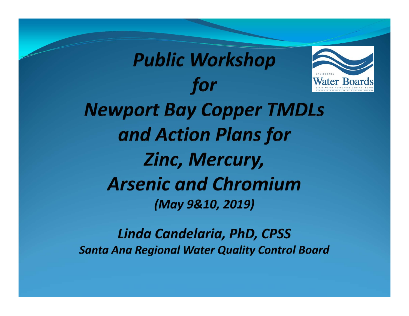

Linda Candelaria, PhD, CPSS **Santa Ana Regional Water Quality Control Board**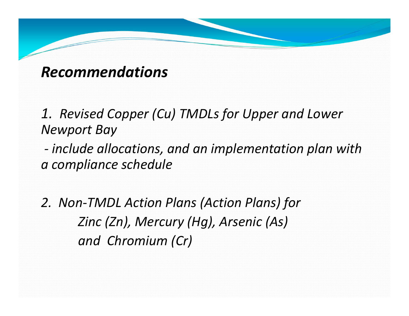### *Recommendations*

*1. Revised Copper (Cu) TMDLs for Upper and Lower Newport Bay* 

*‐ include allocations, and an implementation plan with a compliance schedule* 

*2. Non‐TMDL Action Plans (Action Plans) for Zinc (Zn), Mercury (Hg), Arsenic (As) and Chromium (Cr)*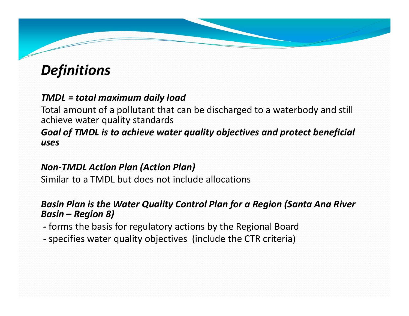## *Definitions*

#### *TMDL = total maximum daily load*

Total amount of a pollutant that can be discharged to a waterbody and still achieve water quality standards

#### *Goal of TMDL is to achieve water quality objectives and protect beneficial uses*

#### *Non‐TMDL Action Plan (Action Plan)*

Similar to a TMDL but does not include allocations

#### *Basin Plan is the Water Quality Control Plan for a Region (Santa Ana River Basin – Region 8)*

- *‐* forms the basis for regulatory actions by the Regional Board
- ‐ specifies water quality objectives (include the CTR criteria)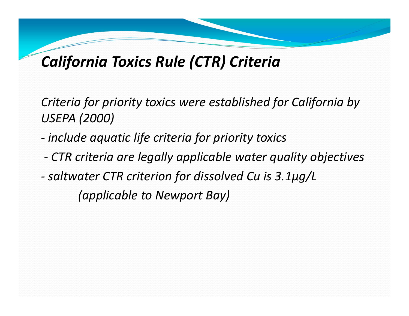# *California Toxics Rule (CTR) Criteria*

*Criteria for priority toxics were established for California by USEPA (2000)* 

- *‐ include aquatic life criteria for priority toxics*
- *‐ CTR criteria are legally applicable water quality objectives*
- *‐ saltwater CTR criterion for dissolved Cu is 3.1µg/L*

*(applicable to Newport Bay)*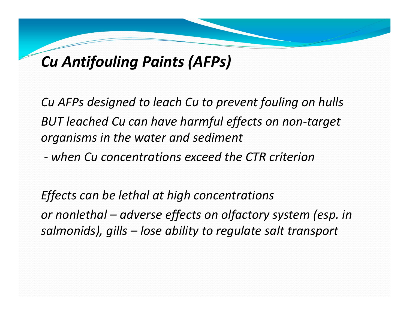## *Cu Antifouling Paints (AFPs)*

*Cu AFPs designed to leach Cu to prevent fouling on hulls BUT leached Cu can have harmful effects on non‐target organisms in the water and sediment* 

*‐ when Cu concentrations exceed the CTR criterion* 

*Effects can be lethal at high concentrations or nonlethal – adverse effects on olfactory system (esp. in salmonids), gills – lose ability to regulate salt transport*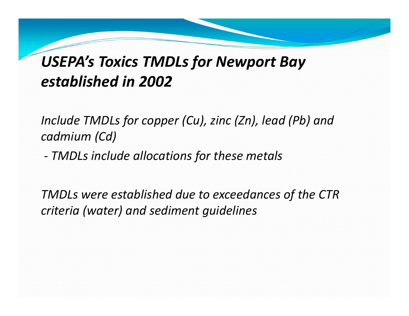# *USEPA's Toxics TMDLs for Newport Bay established in 2002*

*Include TMDLs for copper (Cu), zinc (Zn), lead (Pb) and cadmium (Cd)* 

 *TMDLs include allocations for these metals* 

*TMDLs were established due to exceedances of the CTR criteria (water) and sediment guidelines*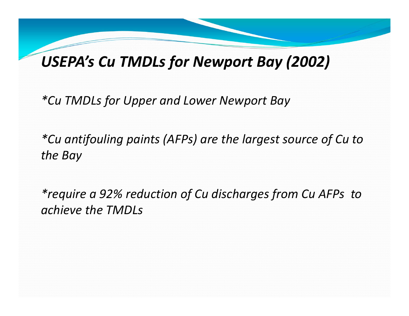## *USEPA's Cu TMDLs for Newport Bay (2002)*

*\*Cu TMDLs for Upper and Lower Newport Bay* 

*\*Cu antifouling paints (AFPs) are the largest source of Cu to the Bay* 

*\*require a 92% reduction of Cu discharges from Cu AFPs to achieve the TMDLs*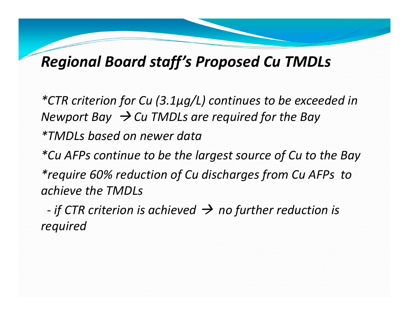## *Regional Board staff's Proposed Cu TMDLs*

*\*CTR criterion for Cu (3.1µg/L) continues to be exceeded in Newport Bay Cu TMDLs are required for the Bay \*TMDLs based on newer data* 

*\*Cu AFPs continue to be the largest source of Cu to the Bay \*require 60% reduction of Cu discharges from Cu AFPs to achieve the TMDLs* 

*‐if CTR criterion is achieved*  $\rightarrow$  *no further reduction is required*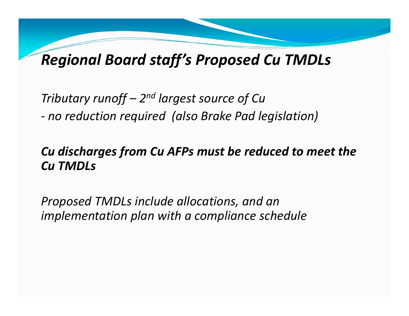## *Regional Board staff's Proposed Cu TMDLs*

*Tributary runoff – 2n<sup>d</sup> largest source of Cu no reduction required (also Brake Pad legislation)* 

#### *Cu discharges from Cu AFPs must be reduced to meet the Cu TMDLs*

*Proposed TMDLs include allocations, and an implementation plan with a compliance schedule*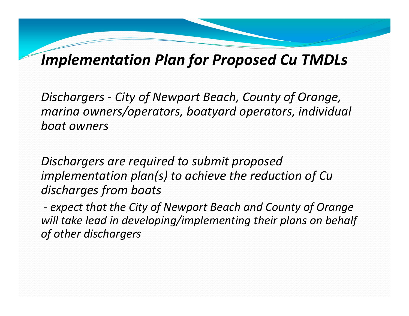*Dischargers ‐ City of Newport Beach, County of Orange, marina owners/operators, boatyard operators, individual boat owners* 

*Dischargers are required to submit proposed implementation plan(s) to achieve the reduction of Cu discharges from boats* 

*‐ expect that the City of Newport Beach and County of Orange will take lead in developing/implementing their plans on behalf of other dischargers*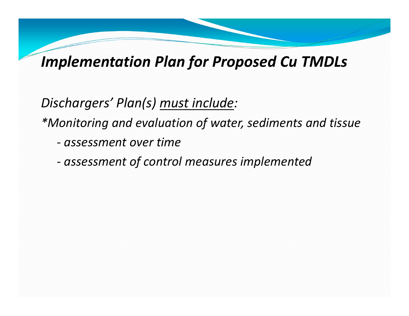*Dischargers' Plan(s) must include:* 

*\*Monitoring and evaluation of water, sediments and tissue* 

- *‐ assessment over time*
- *‐ assessment of control measures implemented*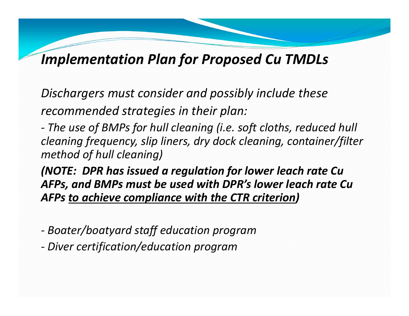*Dischargers must consider and possibly include these recommended strategies in their plan:* 

*‐ The use of BMPs for hull cleaning (i.e. soft cloths, reduced hull cleaning frequency, slip liners, dry dock cleaning, container/filter method of hull cleaning)* 

*(NOTE: DPR has issued a regulation for lower leach rate Cu AFPs, and BMPs must be used with DPR's lower leach rate Cu AFPs to achieve compliance with the CTR criterion)* 

*‐ Boater/boatyard staff education program* 

*‐ Diver certification/education program*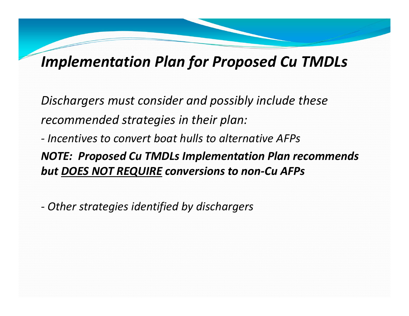*Dischargers must consider and possibly include these recommended strategies in their plan:* 

*‐ Incentives to convert boat hulls to alternative AFPs*

*NOTE: Proposed Cu TMDLs Implementation Plan recommends but DOES NOT REQUIRE conversions to non‐Cu AFPs* 

*‐ Other strategies identified by dischargers*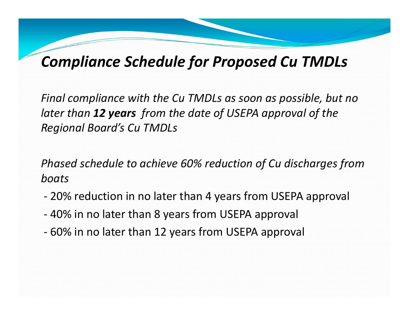## *Compliance Schedule for Proposed Cu TMDLs*

*Final compliance with the Cu TMDLs as soon as possible, but no later than 12 years from the date of USEPA approval of the Regional Board's Cu TMDLs* 

*Phased schedule to achieve 60% reduction of Cu discharges from boats* 

- ‐20% reduction in no later than 4 years from USEPA approval
- ‐40% in no later than 8 years from USEPA approval
- ‐60% in no later than 12 years from USEPA approval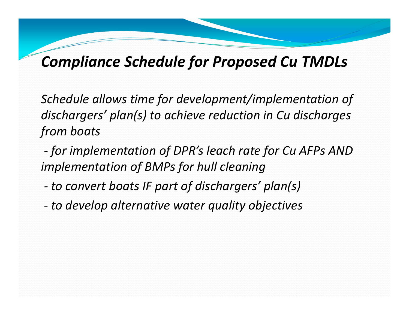## *Compliance Schedule for Proposed Cu TMDLs*

*Schedule allows time for development/implementation of dischargers' plan(s) to achieve reduction in Cu discharges from boats* 

*‐ for implementation of DPR's leach rate for Cu AFPs AND implementation of BMPs for hull cleaning* 

- *to convert boats IF part of dischargers' plan(s)*
- *to develop alternative water quality objectives*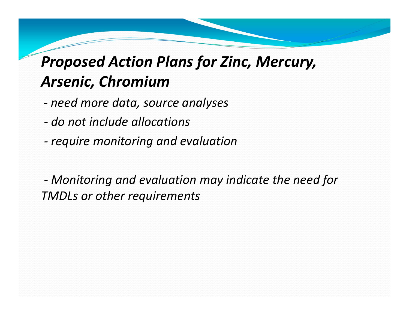# *Proposed Action Plans for Zinc, Mercury, Arsenic, Chromium*

- *‐ need more data, source analyses*
- *‐ do not include allocations*
- *require monitoring and evaluation*

 *Monitoring and evaluation may indicate the need for TMDLs or other requirements*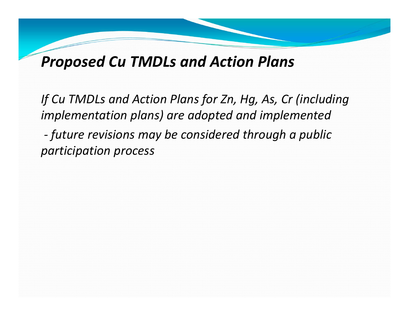## *Proposed Cu TMDLs and Action Plans*

*If Cu TMDLs and Action Plans for Zn, Hg, As, Cr (including implementation plans) are adopted and implemented future revisions may be considered through a public participation process*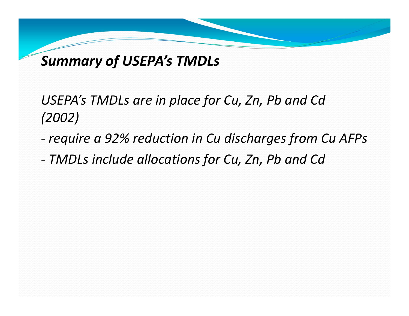## *Summary of USEPA's TMDLs*

## USEPA's TMDLs are in place for Cu, Zn, Pb and Cd *(2002)*

- *‐ require a 92% reduction in Cu discharges from Cu AFPs*
- *‐ TMDLs include allocations for Cu, Zn, Pb and Cd*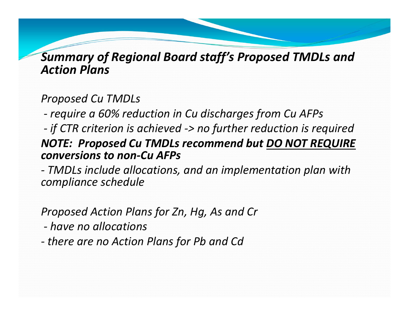#### *Summary of Regional Board staff's Proposed TMDLs and Action Plans*

#### *Proposed Cu TMDLs*

*‐ require a 60% reduction in Cu discharges from Cu AFPs* 

#### *‐ if CTR criterion is achieved ‐> no further reduction is required NOTE: Proposed Cu TMDLs recommend but DO NOT REQUIRE conversions to non‐Cu AFPs*

*‐ TMDLs include allocations, and an implementation plan with compliance schedule* 

#### *Proposed Action Plans for Zn, Hg, As and Cr*

*‐ have no allocations* 

*‐ there are no Action Plans for Pb and Cd*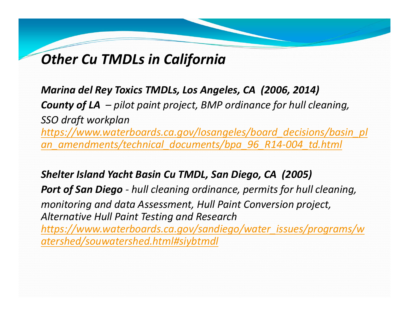## *Other Cu TMDLs in California*

*Marina del Rey Toxics TMDLs, Los Angeles, CA (2006, 2014) County of LA – pilot paint project, BMP ordinance for hull cleaning, SSO draft workplan https://www.waterboards.ca.gov/losangeles/board\_decisions/basin\_pl an\_amendments/technical\_documents/bpa\_96\_R14‐004\_td.html*

*Shelter Island Yacht Basin Cu TMDL, San Diego, CA (2005)* 

*Port of San Diego ‐ hull cleaning ordinance, permits for hull cleaning, monitoring and data Assessment, Hull Paint Conversion project, Alternative Hull Paint Testing and Research https://www.waterboards.ca.gov/sandiego/water\_issues/programs/w atershed/souwatershed.html#siybtmdl*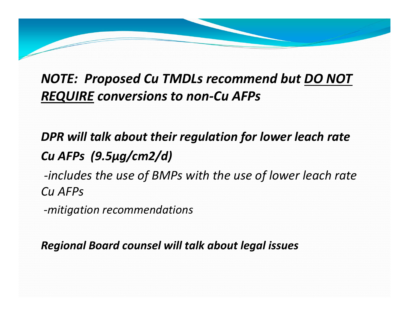### *NOTE: Proposed Cu TMDLs recommend but DO NOT REQUIRE conversions to non‐Cu AFPs*

*DPR will talk about their regulation for lower leach rate Cu AFPs (9.5µg/cm2/d) ‐includes the use of BMPs with the use of lower leach rate Cu AFPs* 

*‐mitigation recommendations* 

*Regional Board counsel will talk about legal issues*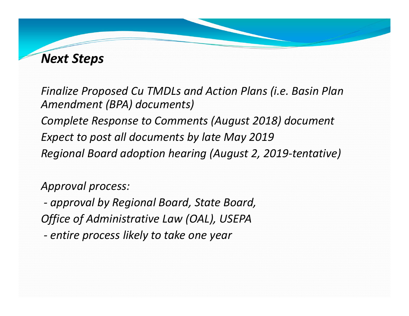#### *Next Steps*

*Finalize Proposed Cu TMDLs and Action Plans (i.e. Basin Plan Amendment (BPA) documents) Complete Response to Comments (August 2018) document Expect to post all documents by late May 2019 Regional Board adoption hearing (August 2, 2019‐tentative)* 

*Approval process:* 

*‐ approval by Regional Board, State Board, Office of Administrative Law (OAL), USEPA ‐ entire process likely to take one year*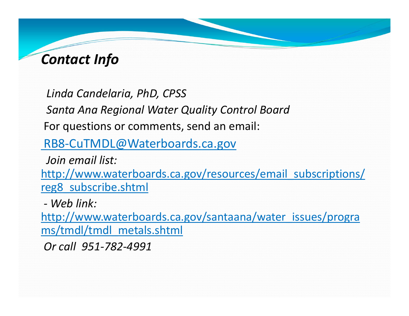### *Contact Info*

*Linda Candelaria, PhD, CPSS* 

*Santa Ana Regional Water Quality Control Board* 

For questions or comments, send an email:

RB8‐CuTMDL@Waterboards.ca.gov

*Join email list:* 

http://www.waterboards.ca.gov/resources/email\_subscriptions/ reg8\_subscribe.shtml

*‐ Web link:* 

http://www.waterboards.ca.gov/santaana/water\_issues/progra ms/tmdl/tmdl\_metals.shtml

*Or call 951‐782‐4991*